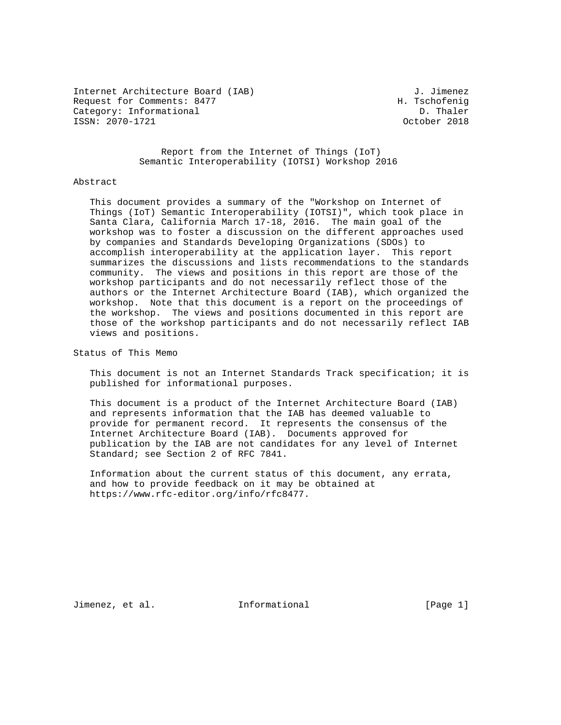Internet Architecture Board (IAB) J. Jimenez<br>Request for Comments: 8477 H. Tschofenig Request for Comments: 8477 H. Tschofenig<br>Category: Informational b. Thaler Category: Informational ISSN: 2070-1721 October 2018

 Report from the Internet of Things (IoT) Semantic Interoperability (IOTSI) Workshop 2016

#### Abstract

 This document provides a summary of the "Workshop on Internet of Things (IoT) Semantic Interoperability (IOTSI)", which took place in Santa Clara, California March 17-18, 2016. The main goal of the workshop was to foster a discussion on the different approaches used by companies and Standards Developing Organizations (SDOs) to accomplish interoperability at the application layer. This report summarizes the discussions and lists recommendations to the standards community. The views and positions in this report are those of the workshop participants and do not necessarily reflect those of the authors or the Internet Architecture Board (IAB), which organized the workshop. Note that this document is a report on the proceedings of the workshop. The views and positions documented in this report are those of the workshop participants and do not necessarily reflect IAB views and positions.

Status of This Memo

 This document is not an Internet Standards Track specification; it is published for informational purposes.

 This document is a product of the Internet Architecture Board (IAB) and represents information that the IAB has deemed valuable to provide for permanent record. It represents the consensus of the Internet Architecture Board (IAB). Documents approved for publication by the IAB are not candidates for any level of Internet Standard; see Section 2 of RFC 7841.

 Information about the current status of this document, any errata, and how to provide feedback on it may be obtained at https://www.rfc-editor.org/info/rfc8477.

Jimenez, et al. 11 Informational 1999 [Page 1]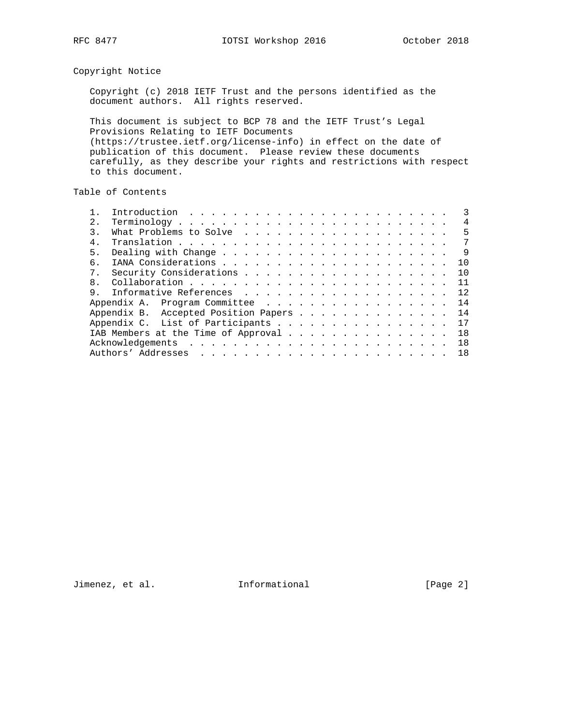## Copyright Notice

 Copyright (c) 2018 IETF Trust and the persons identified as the document authors. All rights reserved.

 This document is subject to BCP 78 and the IETF Trust's Legal Provisions Relating to IETF Documents (https://trustee.ietf.org/license-info) in effect on the date of publication of this document. Please review these documents carefully, as they describe your rights and restrictions with respect to this document.

# Table of Contents

| 2.             | 4                                          |
|----------------|--------------------------------------------|
| 3.             | .5                                         |
| $4$ .          | 7                                          |
| 5.             | -9                                         |
| б.             | 10                                         |
| 7 <sub>1</sub> | 10                                         |
| 8.             | 11                                         |
| 9              | 12                                         |
|                | 14                                         |
|                | Appendix B. Accepted Position Papers<br>14 |
|                | Appendix C. List of Participants<br>17     |
|                | IAB Members at the Time of Approval<br>18  |
|                | 1 R                                        |
|                | 18                                         |

Jimenez, et al. 1nformational [Page 2]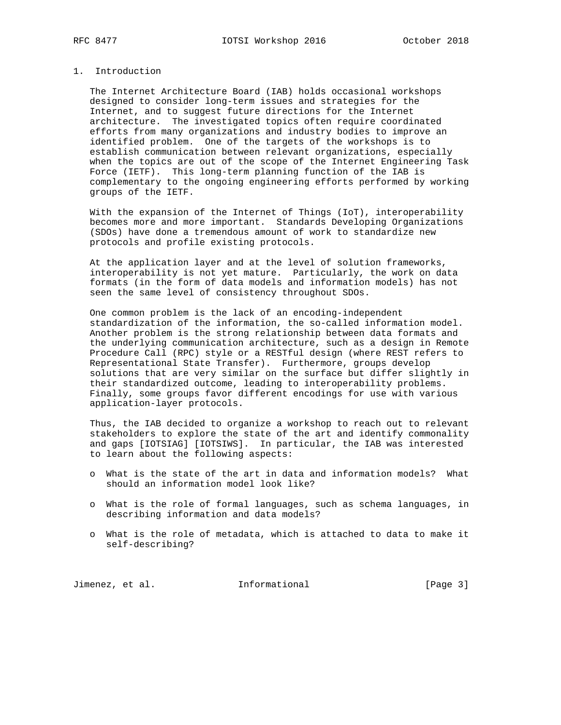## 1. Introduction

 The Internet Architecture Board (IAB) holds occasional workshops designed to consider long-term issues and strategies for the Internet, and to suggest future directions for the Internet architecture. The investigated topics often require coordinated efforts from many organizations and industry bodies to improve an identified problem. One of the targets of the workshops is to establish communication between relevant organizations, especially when the topics are out of the scope of the Internet Engineering Task Force (IETF). This long-term planning function of the IAB is complementary to the ongoing engineering efforts performed by working groups of the IETF.

 With the expansion of the Internet of Things (IoT), interoperability becomes more and more important. Standards Developing Organizations (SDOs) have done a tremendous amount of work to standardize new protocols and profile existing protocols.

 At the application layer and at the level of solution frameworks, interoperability is not yet mature. Particularly, the work on data formats (in the form of data models and information models) has not seen the same level of consistency throughout SDOs.

 One common problem is the lack of an encoding-independent standardization of the information, the so-called information model. Another problem is the strong relationship between data formats and the underlying communication architecture, such as a design in Remote Procedure Call (RPC) style or a RESTful design (where REST refers to Representational State Transfer). Furthermore, groups develop solutions that are very similar on the surface but differ slightly in their standardized outcome, leading to interoperability problems. Finally, some groups favor different encodings for use with various application-layer protocols.

 Thus, the IAB decided to organize a workshop to reach out to relevant stakeholders to explore the state of the art and identify commonality and gaps [IOTSIAG] [IOTSIWS]. In particular, the IAB was interested to learn about the following aspects:

- o What is the state of the art in data and information models? What should an information model look like?
- o What is the role of formal languages, such as schema languages, in describing information and data models?
- o What is the role of metadata, which is attached to data to make it self-describing?

Jimenez, et al. 1nformational [Page 3]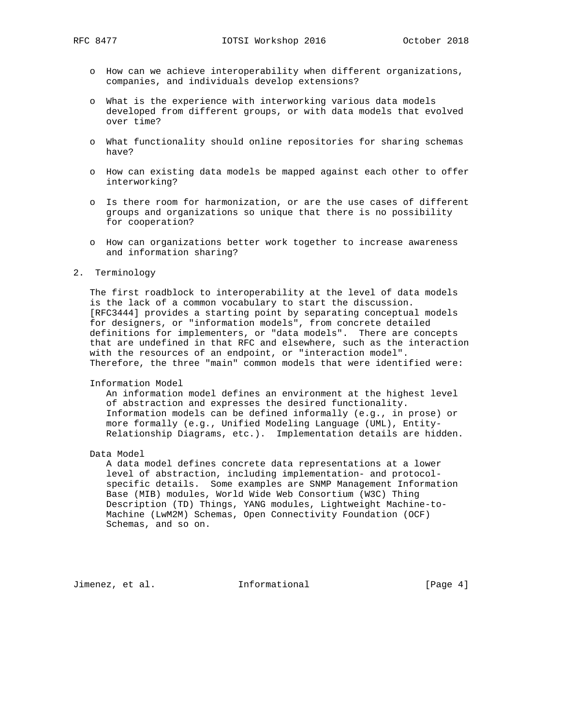- o How can we achieve interoperability when different organizations, companies, and individuals develop extensions?
- o What is the experience with interworking various data models developed from different groups, or with data models that evolved over time?
- o What functionality should online repositories for sharing schemas have?
- o How can existing data models be mapped against each other to offer interworking?
- o Is there room for harmonization, or are the use cases of different groups and organizations so unique that there is no possibility for cooperation?
- o How can organizations better work together to increase awareness and information sharing?

### 2. Terminology

 The first roadblock to interoperability at the level of data models is the lack of a common vocabulary to start the discussion. [RFC3444] provides a starting point by separating conceptual models for designers, or "information models", from concrete detailed definitions for implementers, or "data models". There are concepts that are undefined in that RFC and elsewhere, such as the interaction with the resources of an endpoint, or "interaction model". Therefore, the three "main" common models that were identified were:

#### Information Model

 An information model defines an environment at the highest level of abstraction and expresses the desired functionality. Information models can be defined informally (e.g., in prose) or more formally (e.g., Unified Modeling Language (UML), Entity- Relationship Diagrams, etc.). Implementation details are hidden.

Data Model

 A data model defines concrete data representations at a lower level of abstraction, including implementation- and protocol specific details. Some examples are SNMP Management Information Base (MIB) modules, World Wide Web Consortium (W3C) Thing Description (TD) Things, YANG modules, Lightweight Machine-to- Machine (LwM2M) Schemas, Open Connectivity Foundation (OCF) Schemas, and so on.

Jimenez, et al. 1nformational 1998 [Page 4]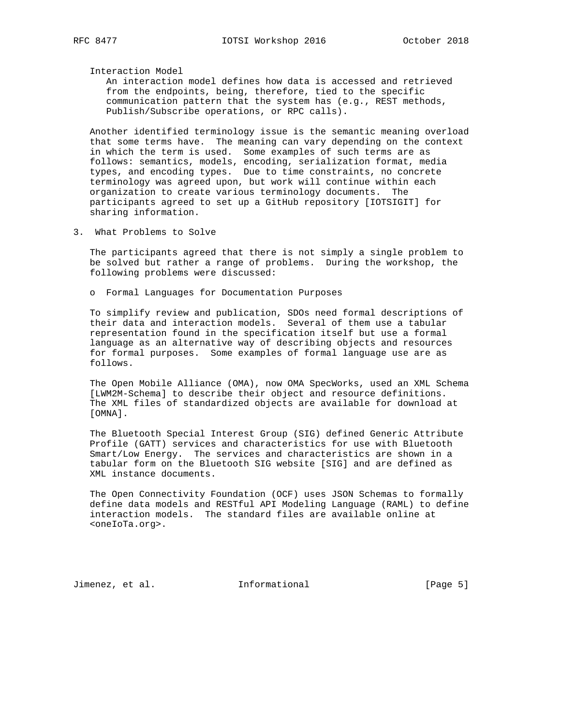Interaction Model

 An interaction model defines how data is accessed and retrieved from the endpoints, being, therefore, tied to the specific communication pattern that the system has (e.g., REST methods, Publish/Subscribe operations, or RPC calls).

 Another identified terminology issue is the semantic meaning overload that some terms have. The meaning can vary depending on the context in which the term is used. Some examples of such terms are as follows: semantics, models, encoding, serialization format, media types, and encoding types. Due to time constraints, no concrete terminology was agreed upon, but work will continue within each organization to create various terminology documents. The participants agreed to set up a GitHub repository [IOTSIGIT] for sharing information.

3. What Problems to Solve

 The participants agreed that there is not simply a single problem to be solved but rather a range of problems. During the workshop, the following problems were discussed:

o Formal Languages for Documentation Purposes

 To simplify review and publication, SDOs need formal descriptions of their data and interaction models. Several of them use a tabular representation found in the specification itself but use a formal language as an alternative way of describing objects and resources for formal purposes. Some examples of formal language use are as follows.

 The Open Mobile Alliance (OMA), now OMA SpecWorks, used an XML Schema [LWM2M-Schema] to describe their object and resource definitions. The XML files of standardized objects are available for download at [OMNA].

 The Bluetooth Special Interest Group (SIG) defined Generic Attribute Profile (GATT) services and characteristics for use with Bluetooth Smart/Low Energy. The services and characteristics are shown in a tabular form on the Bluetooth SIG website [SIG] and are defined as XML instance documents.

 The Open Connectivity Foundation (OCF) uses JSON Schemas to formally define data models and RESTful API Modeling Language (RAML) to define interaction models. The standard files are available online at <oneIoTa.org>.

Jimenez, et al. 1nformational 1999 [Page 5]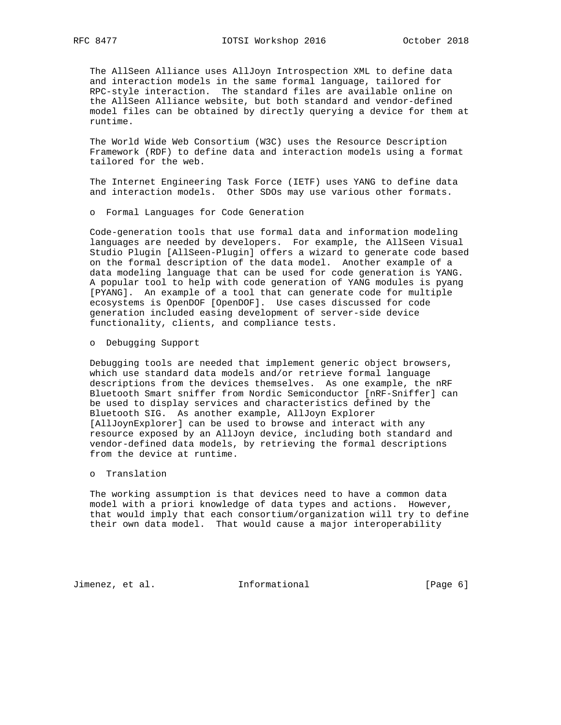The AllSeen Alliance uses AllJoyn Introspection XML to define data and interaction models in the same formal language, tailored for RPC-style interaction. The standard files are available online on the AllSeen Alliance website, but both standard and vendor-defined model files can be obtained by directly querying a device for them at runtime.

 The World Wide Web Consortium (W3C) uses the Resource Description Framework (RDF) to define data and interaction models using a format tailored for the web.

 The Internet Engineering Task Force (IETF) uses YANG to define data and interaction models. Other SDOs may use various other formats.

o Formal Languages for Code Generation

 Code-generation tools that use formal data and information modeling languages are needed by developers. For example, the AllSeen Visual Studio Plugin [AllSeen-Plugin] offers a wizard to generate code based on the formal description of the data model. Another example of a data modeling language that can be used for code generation is YANG. A popular tool to help with code generation of YANG modules is pyang [PYANG]. An example of a tool that can generate code for multiple ecosystems is OpenDOF [OpenDOF]. Use cases discussed for code generation included easing development of server-side device functionality, clients, and compliance tests.

o Debugging Support

 Debugging tools are needed that implement generic object browsers, which use standard data models and/or retrieve formal language descriptions from the devices themselves. As one example, the nRF Bluetooth Smart sniffer from Nordic Semiconductor [nRF-Sniffer] can be used to display services and characteristics defined by the Bluetooth SIG. As another example, AllJoyn Explorer [AllJoynExplorer] can be used to browse and interact with any resource exposed by an AllJoyn device, including both standard and vendor-defined data models, by retrieving the formal descriptions from the device at runtime.

o Translation

 The working assumption is that devices need to have a common data model with a priori knowledge of data types and actions. However, that would imply that each consortium/organization will try to define their own data model. That would cause a major interoperability

Jimenez, et al. 1nformational [Page 6]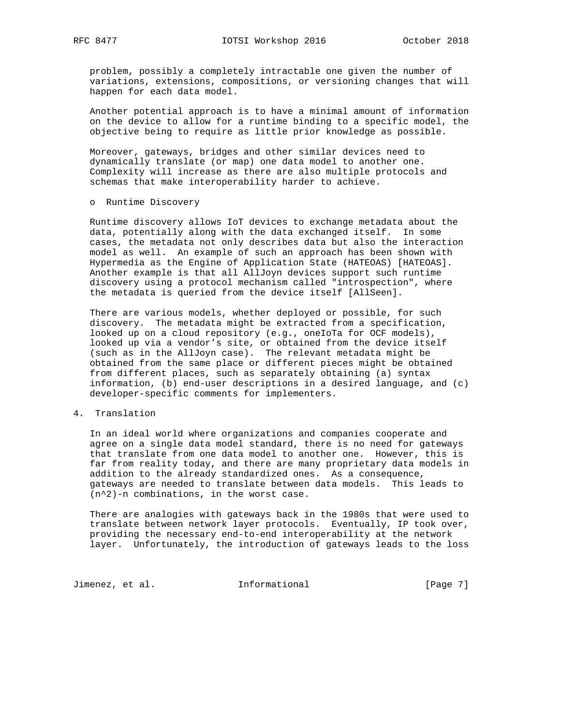problem, possibly a completely intractable one given the number of variations, extensions, compositions, or versioning changes that will happen for each data model.

 Another potential approach is to have a minimal amount of information on the device to allow for a runtime binding to a specific model, the objective being to require as little prior knowledge as possible.

 Moreover, gateways, bridges and other similar devices need to dynamically translate (or map) one data model to another one. Complexity will increase as there are also multiple protocols and schemas that make interoperability harder to achieve.

### o Runtime Discovery

 Runtime discovery allows IoT devices to exchange metadata about the data, potentially along with the data exchanged itself. In some cases, the metadata not only describes data but also the interaction model as well. An example of such an approach has been shown with Hypermedia as the Engine of Application State (HATEOAS) [HATEOAS]. Another example is that all AllJoyn devices support such runtime discovery using a protocol mechanism called "introspection", where the metadata is queried from the device itself [AllSeen].

 There are various models, whether deployed or possible, for such discovery. The metadata might be extracted from a specification, looked up on a cloud repository (e.g., oneIoTa for OCF models), looked up via a vendor's site, or obtained from the device itself (such as in the AllJoyn case). The relevant metadata might be obtained from the same place or different pieces might be obtained from different places, such as separately obtaining (a) syntax information, (b) end-user descriptions in a desired language, and (c) developer-specific comments for implementers.

### 4. Translation

 In an ideal world where organizations and companies cooperate and agree on a single data model standard, there is no need for gateways that translate from one data model to another one. However, this is far from reality today, and there are many proprietary data models in addition to the already standardized ones. As a consequence, gateways are needed to translate between data models. This leads to (n^2)-n combinations, in the worst case.

 There are analogies with gateways back in the 1980s that were used to translate between network layer protocols. Eventually, IP took over, providing the necessary end-to-end interoperability at the network layer. Unfortunately, the introduction of gateways leads to the loss

Jimenez, et al. 1nformational [Page 7]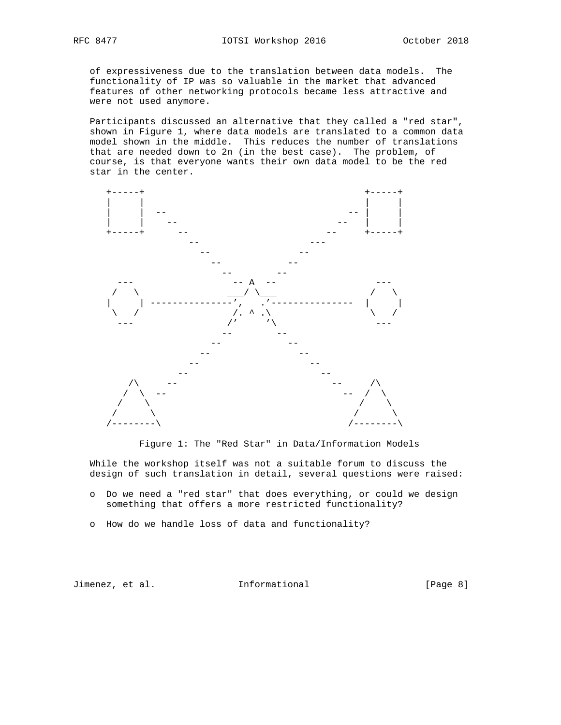of expressiveness due to the translation between data models. The functionality of IP was so valuable in the market that advanced features of other networking protocols became less attractive and were not used anymore.

 Participants discussed an alternative that they called a "red star", shown in Figure 1, where data models are translated to a common data model shown in the middle. This reduces the number of translations that are needed down to 2n (in the best case). The problem, of course, is that everyone wants their own data model to be the red star in the center.



Figure 1: The "Red Star" in Data/Information Models

 While the workshop itself was not a suitable forum to discuss the design of such translation in detail, several questions were raised:

- o Do we need a "red star" that does everything, or could we design something that offers a more restricted functionality?
- o How do we handle loss of data and functionality?

Jimenez, et al. Informational [Page 8]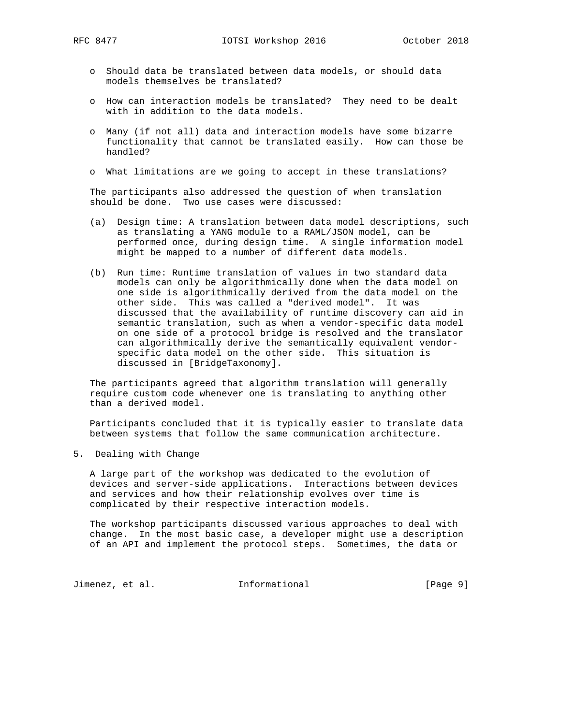- o Should data be translated between data models, or should data models themselves be translated?
- o How can interaction models be translated? They need to be dealt with in addition to the data models.
- o Many (if not all) data and interaction models have some bizarre functionality that cannot be translated easily. How can those be handled?
- o What limitations are we going to accept in these translations?

 The participants also addressed the question of when translation should be done. Two use cases were discussed:

- (a) Design time: A translation between data model descriptions, such as translating a YANG module to a RAML/JSON model, can be performed once, during design time. A single information model might be mapped to a number of different data models.
- (b) Run time: Runtime translation of values in two standard data models can only be algorithmically done when the data model on one side is algorithmically derived from the data model on the other side. This was called a "derived model". It was discussed that the availability of runtime discovery can aid in semantic translation, such as when a vendor-specific data model on one side of a protocol bridge is resolved and the translator can algorithmically derive the semantically equivalent vendor specific data model on the other side. This situation is discussed in [BridgeTaxonomy].

 The participants agreed that algorithm translation will generally require custom code whenever one is translating to anything other than a derived model.

 Participants concluded that it is typically easier to translate data between systems that follow the same communication architecture.

5. Dealing with Change

 A large part of the workshop was dedicated to the evolution of devices and server-side applications. Interactions between devices and services and how their relationship evolves over time is complicated by their respective interaction models.

 The workshop participants discussed various approaches to deal with change. In the most basic case, a developer might use a description of an API and implement the protocol steps. Sometimes, the data or

Jimenez, et al. 1nformational 1999 [Page 9]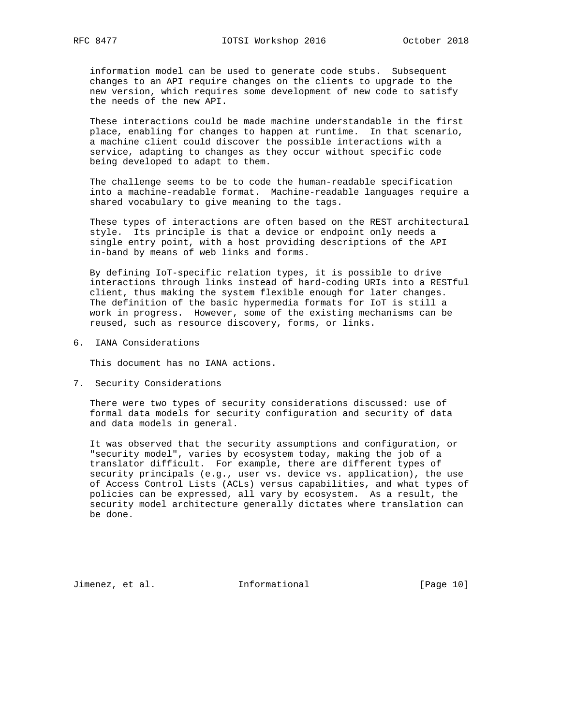information model can be used to generate code stubs. Subsequent changes to an API require changes on the clients to upgrade to the new version, which requires some development of new code to satisfy the needs of the new API.

 These interactions could be made machine understandable in the first place, enabling for changes to happen at runtime. In that scenario, a machine client could discover the possible interactions with a service, adapting to changes as they occur without specific code being developed to adapt to them.

 The challenge seems to be to code the human-readable specification into a machine-readable format. Machine-readable languages require a shared vocabulary to give meaning to the tags.

 These types of interactions are often based on the REST architectural style. Its principle is that a device or endpoint only needs a single entry point, with a host providing descriptions of the API in-band by means of web links and forms.

 By defining IoT-specific relation types, it is possible to drive interactions through links instead of hard-coding URIs into a RESTful client, thus making the system flexible enough for later changes. The definition of the basic hypermedia formats for IoT is still a work in progress. However, some of the existing mechanisms can be reused, such as resource discovery, forms, or links.

6. IANA Considerations

This document has no IANA actions.

7. Security Considerations

 There were two types of security considerations discussed: use of formal data models for security configuration and security of data and data models in general.

 It was observed that the security assumptions and configuration, or "security model", varies by ecosystem today, making the job of a translator difficult. For example, there are different types of security principals (e.g., user vs. device vs. application), the use of Access Control Lists (ACLs) versus capabilities, and what types of policies can be expressed, all vary by ecosystem. As a result, the security model architecture generally dictates where translation can be done.

Jimenez, et al. 10 Informational 10 [Page 10]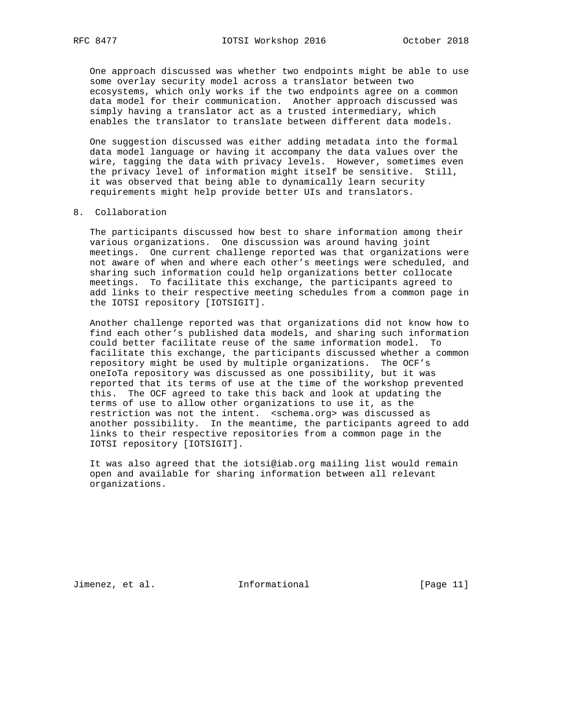One approach discussed was whether two endpoints might be able to use some overlay security model across a translator between two ecosystems, which only works if the two endpoints agree on a common data model for their communication. Another approach discussed was simply having a translator act as a trusted intermediary, which enables the translator to translate between different data models.

 One suggestion discussed was either adding metadata into the formal data model language or having it accompany the data values over the wire, tagging the data with privacy levels. However, sometimes even the privacy level of information might itself be sensitive. Still, it was observed that being able to dynamically learn security requirements might help provide better UIs and translators.

## 8. Collaboration

 The participants discussed how best to share information among their various organizations. One discussion was around having joint meetings. One current challenge reported was that organizations were not aware of when and where each other's meetings were scheduled, and sharing such information could help organizations better collocate meetings. To facilitate this exchange, the participants agreed to add links to their respective meeting schedules from a common page in the IOTSI repository [IOTSIGIT].

 Another challenge reported was that organizations did not know how to find each other's published data models, and sharing such information could better facilitate reuse of the same information model. To facilitate this exchange, the participants discussed whether a common repository might be used by multiple organizations. The OCF's oneIoTa repository was discussed as one possibility, but it was reported that its terms of use at the time of the workshop prevented this. The OCF agreed to take this back and look at updating the terms of use to allow other organizations to use it, as the restriction was not the intent. <schema.org> was discussed as another possibility. In the meantime, the participants agreed to add links to their respective repositories from a common page in the IOTSI repository [IOTSIGIT].

 It was also agreed that the iotsi@iab.org mailing list would remain open and available for sharing information between all relevant organizations.

Jimenez, et al. 100 a.m. Informational 100 a.m. [Page 11]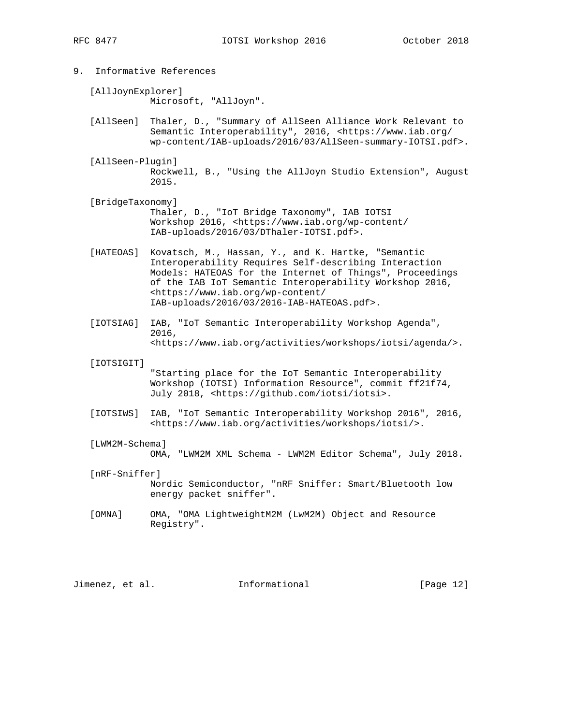- 9. Informative References
	- [AllJoynExplorer] Microsoft, "AllJoyn".
	- [AllSeen] Thaler, D., "Summary of AllSeen Alliance Work Relevant to Semantic Interoperability", 2016, <https://www.iab.org/ wp-content/IAB-uploads/2016/03/AllSeen-summary-IOTSI.pdf>.
	- [AllSeen-Plugin] Rockwell, B., "Using the AllJoyn Studio Extension", August 2015.
	- [BridgeTaxonomy] Thaler, D., "IoT Bridge Taxonomy", IAB IOTSI Workshop 2016, <https://www.iab.org/wp-content/ IAB-uploads/2016/03/DThaler-IOTSI.pdf>.
	- [HATEOAS] Kovatsch, M., Hassan, Y., and K. Hartke, "Semantic Interoperability Requires Self-describing Interaction Models: HATEOAS for the Internet of Things", Proceedings of the IAB IoT Semantic Interoperability Workshop 2016, <https://www.iab.org/wp-content/ IAB-uploads/2016/03/2016-IAB-HATEOAS.pdf>.
	- [IOTSIAG] IAB, "IoT Semantic Interoperability Workshop Agenda", 2016, <https://www.iab.org/activities/workshops/iotsi/agenda/>.
	- [IOTSIGIT]

 "Starting place for the IoT Semantic Interoperability Workshop (IOTSI) Information Resource", commit ff21f74, July 2018, <https://github.com/iotsi/iotsi>.

- [IOTSIWS] IAB, "IoT Semantic Interoperability Workshop 2016", 2016, <https://www.iab.org/activities/workshops/iotsi/>.
- [LWM2M-Schema]

OMA, "LWM2M XML Schema - LWM2M Editor Schema", July 2018.

- [nRF-Sniffer] Nordic Semiconductor, "nRF Sniffer: Smart/Bluetooth low energy packet sniffer".
- [OMNA] OMA, "OMA LightweightM2M (LwM2M) Object and Resource Registry".

Jimenez, et al. 1nformational [Page 12]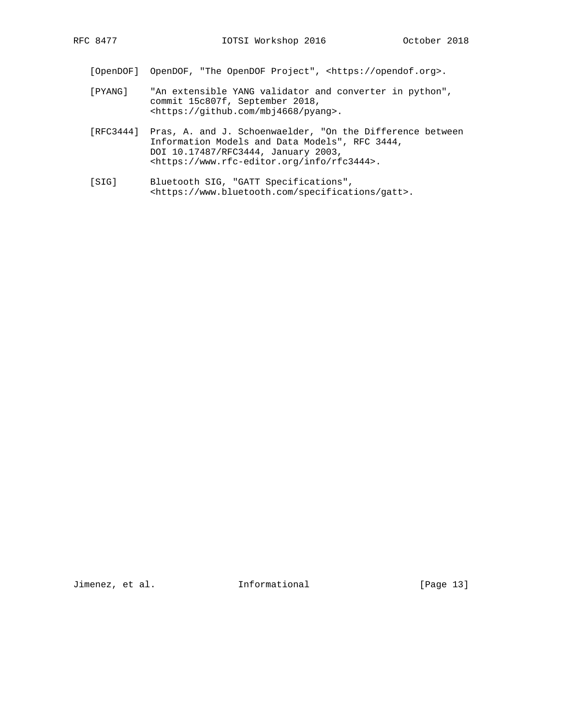[OpenDOF] OpenDOF, "The OpenDOF Project", <https://opendof.org>.

- [PYANG] "An extensible YANG validator and converter in python", commit 15c807f, September 2018, <https://github.com/mbj4668/pyang>.
- [RFC3444] Pras, A. and J. Schoenwaelder, "On the Difference between Information Models and Data Models", RFC 3444, DOI 10.17487/RFC3444, January 2003, <https://www.rfc-editor.org/info/rfc3444>.
- [SIG] Bluetooth SIG, "GATT Specifications", <https://www.bluetooth.com/specifications/gatt>.

Jimenez, et al. 1nformational [Page 13]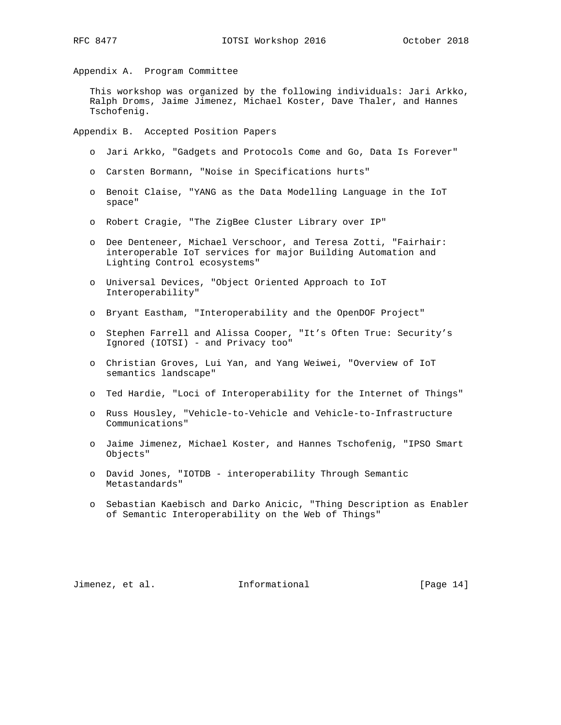Appendix A. Program Committee

 This workshop was organized by the following individuals: Jari Arkko, Ralph Droms, Jaime Jimenez, Michael Koster, Dave Thaler, and Hannes Tschofenig.

Appendix B. Accepted Position Papers

- o Jari Arkko, "Gadgets and Protocols Come and Go, Data Is Forever"
- o Carsten Bormann, "Noise in Specifications hurts"
- o Benoit Claise, "YANG as the Data Modelling Language in the IoT space"
- o Robert Cragie, "The ZigBee Cluster Library over IP"
- o Dee Denteneer, Michael Verschoor, and Teresa Zotti, "Fairhair: interoperable IoT services for major Building Automation and Lighting Control ecosystems"
- o Universal Devices, "Object Oriented Approach to IoT Interoperability"
- o Bryant Eastham, "Interoperability and the OpenDOF Project"
- o Stephen Farrell and Alissa Cooper, "It's Often True: Security's Ignored (IOTSI) - and Privacy too"
- o Christian Groves, Lui Yan, and Yang Weiwei, "Overview of IoT semantics landscape"
- o Ted Hardie, "Loci of Interoperability for the Internet of Things"
- o Russ Housley, "Vehicle-to-Vehicle and Vehicle-to-Infrastructure Communications"
- o Jaime Jimenez, Michael Koster, and Hannes Tschofenig, "IPSO Smart Objects"
- o David Jones, "IOTDB interoperability Through Semantic Metastandards"
- o Sebastian Kaebisch and Darko Anicic, "Thing Description as Enabler of Semantic Interoperability on the Web of Things"

Jimenez, et al. 11 Informational 1999 [Page 14]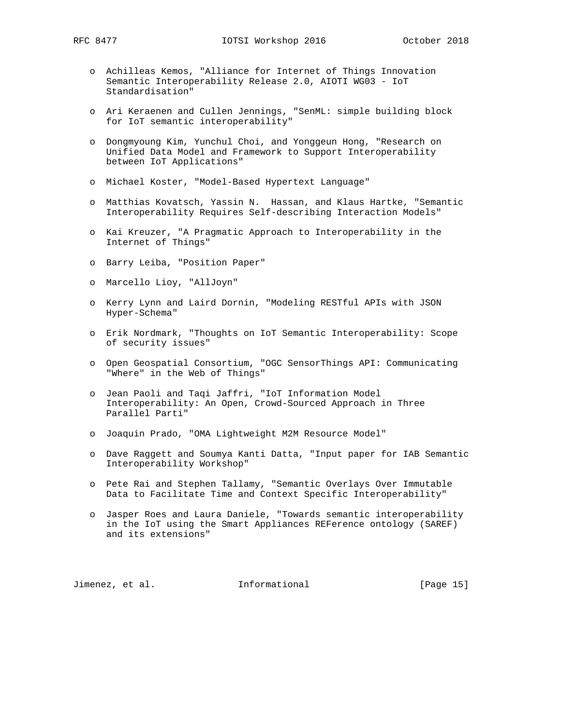- o Achilleas Kemos, "Alliance for Internet of Things Innovation Semantic Interoperability Release 2.0, AIOTI WG03 - IoT Standardisation"
- o Ari Keraenen and Cullen Jennings, "SenML: simple building block for IoT semantic interoperability"
- o Dongmyoung Kim, Yunchul Choi, and Yonggeun Hong, "Research on Unified Data Model and Framework to Support Interoperability between IoT Applications"
- o Michael Koster, "Model-Based Hypertext Language"
- o Matthias Kovatsch, Yassin N. Hassan, and Klaus Hartke, "Semantic Interoperability Requires Self-describing Interaction Models"
- o Kai Kreuzer, "A Pragmatic Approach to Interoperability in the Internet of Things"
- o Barry Leiba, "Position Paper"
- o Marcello Lioy, "AllJoyn"
- o Kerry Lynn and Laird Dornin, "Modeling RESTful APIs with JSON Hyper-Schema"
- o Erik Nordmark, "Thoughts on IoT Semantic Interoperability: Scope of security issues"
- o Open Geospatial Consortium, "OGC SensorThings API: Communicating "Where" in the Web of Things"
- o Jean Paoli and Taqi Jaffri, "IoT Information Model Interoperability: An Open, Crowd-Sourced Approach in Three Parallel Parti"
- o Joaquin Prado, "OMA Lightweight M2M Resource Model"
- o Dave Raggett and Soumya Kanti Datta, "Input paper for IAB Semantic Interoperability Workshop"
- o Pete Rai and Stephen Tallamy, "Semantic Overlays Over Immutable Data to Facilitate Time and Context Specific Interoperability"
- o Jasper Roes and Laura Daniele, "Towards semantic interoperability in the IoT using the Smart Appliances REFerence ontology (SAREF) and its extensions"

Jimenez, et al. 1nformational 1999 [Page 15]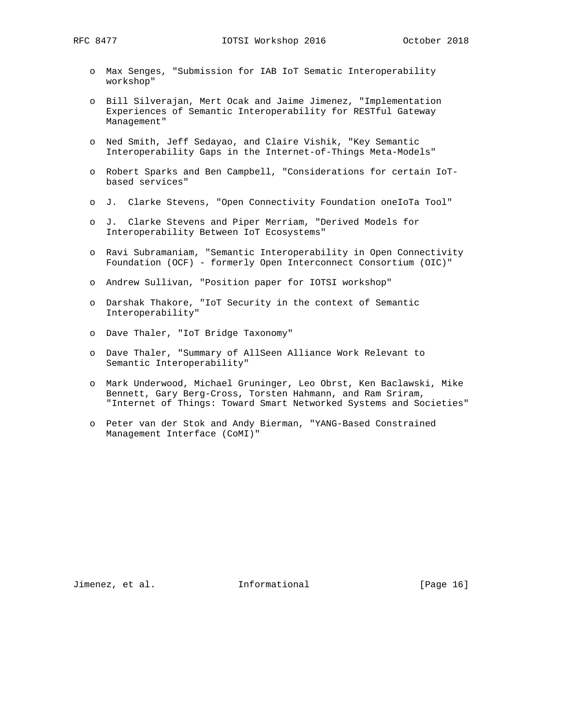RFC 8477 **IOTSI Workshop 2016** October 2018

- o Max Senges, "Submission for IAB IoT Sematic Interoperability workshop"
- o Bill Silverajan, Mert Ocak and Jaime Jimenez, "Implementation Experiences of Semantic Interoperability for RESTful Gateway Management"
- o Ned Smith, Jeff Sedayao, and Claire Vishik, "Key Semantic Interoperability Gaps in the Internet-of-Things Meta-Models"
- o Robert Sparks and Ben Campbell, "Considerations for certain IoT based services"
- o J. Clarke Stevens, "Open Connectivity Foundation oneIoTa Tool"
- o J. Clarke Stevens and Piper Merriam, "Derived Models for Interoperability Between IoT Ecosystems"
- o Ravi Subramaniam, "Semantic Interoperability in Open Connectivity Foundation (OCF) - formerly Open Interconnect Consortium (OIC)"
- o Andrew Sullivan, "Position paper for IOTSI workshop"
- o Darshak Thakore, "IoT Security in the context of Semantic Interoperability"
- o Dave Thaler, "IoT Bridge Taxonomy"
- o Dave Thaler, "Summary of AllSeen Alliance Work Relevant to Semantic Interoperability"
- o Mark Underwood, Michael Gruninger, Leo Obrst, Ken Baclawski, Mike Bennett, Gary Berg-Cross, Torsten Hahmann, and Ram Sriram, "Internet of Things: Toward Smart Networked Systems and Societies"
- o Peter van der Stok and Andy Bierman, "YANG-Based Constrained Management Interface (CoMI)"

Jimenez, et al. 1nformational 1999 [Page 16]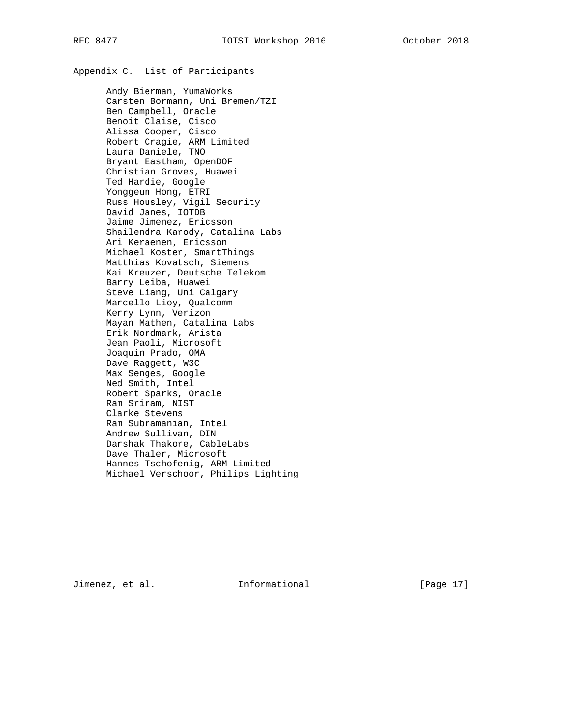# Appendix C. List of Participants

 Andy Bierman, YumaWorks Carsten Bormann, Uni Bremen/TZI Ben Campbell, Oracle Benoit Claise, Cisco Alissa Cooper, Cisco Robert Cragie, ARM Limited Laura Daniele, TNO Bryant Eastham, OpenDOF Christian Groves, Huawei Ted Hardie, Google Yonggeun Hong, ETRI Russ Housley, Vigil Security David Janes, IOTDB Jaime Jimenez, Ericsson Shailendra Karody, Catalina Labs Ari Keraenen, Ericsson Michael Koster, SmartThings Matthias Kovatsch, Siemens Kai Kreuzer, Deutsche Telekom Barry Leiba, Huawei Steve Liang, Uni Calgary Marcello Lioy, Qualcomm Kerry Lynn, Verizon Mayan Mathen, Catalina Labs Erik Nordmark, Arista Jean Paoli, Microsoft Joaquin Prado, OMA Dave Raggett, W3C Max Senges, Google Ned Smith, Intel Robert Sparks, Oracle Ram Sriram, NIST Clarke Stevens Ram Subramanian, Intel Andrew Sullivan, DIN Darshak Thakore, CableLabs Dave Thaler, Microsoft Hannes Tschofenig, ARM Limited Michael Verschoor, Philips Lighting

Jimenez, et al. 1nformational 1999 [Page 17]